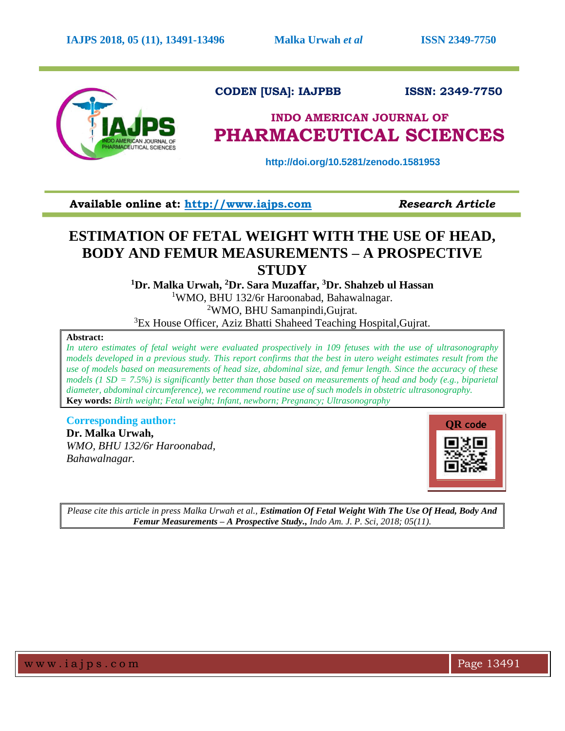

 **CODEN [USA]: IAJPBB ISSN: 2349-7750**

# **INDO AMERICAN JOURNAL OF PHARMACEUTICAL SCIENCES**

 **http://doi.org/10.5281/zenodo.1581953**

**Available online at: [http://www.iajps.com](http://www.iajps.com/)** *Research Article*

## **ESTIMATION OF FETAL WEIGHT WITH THE USE OF HEAD, BODY AND FEMUR MEASUREMENTS – A PROSPECTIVE STUDY**

**<sup>1</sup>Dr. Malka Urwah, <sup>2</sup>Dr. Sara Muzaffar, <sup>3</sup>Dr. Shahzeb ul Hassan**

<sup>1</sup>WMO, BHU 132/6r Haroonabad, Bahawalnagar. <sup>2</sup>WMO, BHU Samanpindi, Gujrat.

<sup>3</sup>Ex House Officer, Aziz Bhatti Shaheed Teaching Hospital, Gujrat.

## **Abstract:**

*In utero estimates of fetal weight were evaluated prospectively in 109 fetuses with the use of ultrasonography models developed in a previous study. This report confirms that the best in utero weight estimates result from the use of models based on measurements of head size, abdominal size, and femur length. Since the accuracy of these models (1 SD = 7.5%) is significantly better than those based on measurements of head and body (e.g., biparietal diameter, abdominal circumference), we recommend routine use of such models in obstetric ultrasonography.*  **Key words:** *Birth weight; Fetal weight; Infant, newborn; Pregnancy; Ultrasonography*

**Corresponding author: Dr. Malka Urwah,** *WMO, BHU 132/6r Haroonabad, Bahawalnagar.*



*Please cite this article in press Malka Urwah et al., Estimation Of Fetal Weight With The Use Of Head, Body And Femur Measurements – A Prospective Study., Indo Am. J. P. Sci, 2018; 05(11).*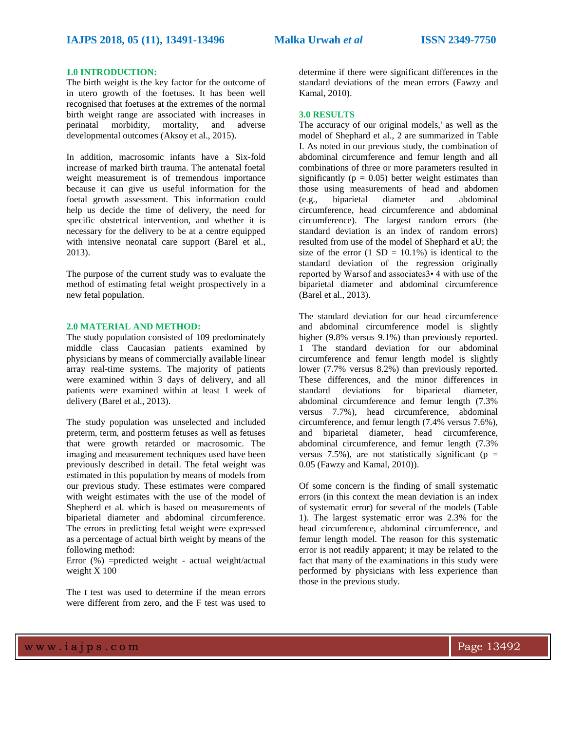### **1.0 INTRODUCTION:**

The birth weight is the key factor for the outcome of in utero growth of the foetuses. It has been well recognised that foetuses at the extremes of the normal birth weight range are associated with increases in perinatal morbidity, mortality, and adverse developmental outcomes (Aksoy et al., 2015).

In addition, macrosomic infants have a Six-fold increase of marked birth trauma. The antenatal foetal weight measurement is of tremendous importance because it can give us useful information for the foetal growth assessment. This information could help us decide the time of delivery, the need for specific obstetrical intervention, and whether it is necessary for the delivery to be at a centre equipped with intensive neonatal care support (Barel et al., 2013).

The purpose of the current study was to evaluate the method of estimating fetal weight prospectively in a new fetal population.

### **2.0 MATERIAL AND METHOD:**

The study population consisted of 109 predominately middle class Caucasian patients examined by physicians by means of commercially available linear array real-time systems. The majority of patients were examined within 3 days of delivery, and all patients were examined within at least 1 week of delivery (Barel et al., 2013).

The study population was unselected and included preterm, term, and postterm fetuses as well as fetuses that were growth retarded or macrosomic. The imaging and measurement techniques used have been previously described in detail. The fetal weight was estimated in this population by means of models from our previous study. These estimates were compared with weight estimates with the use of the model of Shepherd et al. which is based on measurements of biparietal diameter and abdominal circumference. The errors in predicting fetal weight were expressed as a percentage of actual birth weight by means of the following method:

Error (%) =predicted weight - actual weight/actual weight X 100

The t test was used to determine if the mean errors were different from zero, and the F test was used to determine if there were significant differences in the standard deviations of the mean errors (Fawzy and Kamal, 2010).

#### **3.0 RESULTS**

The accuracy of our original models,' as well as the model of Shephard et al., 2 are summarized in Table I. As noted in our previous study, the combination of abdominal circumference and femur length and all combinations of three or more parameters resulted in significantly ( $p = 0.05$ ) better weight estimates than those using measurements of head and abdomen (e.g., biparietal diameter and abdominal circumference, head circumference and abdominal circumference). The largest random errors (the standard deviation is an index of random errors) resulted from use of the model of Shephard et aU; the size of the error  $(1 S D = 10.1\%)$  is identical to the standard deviation of the regression originally reported by Warsof and associates3• 4 with use of the biparietal diameter and abdominal circumference (Barel et al., 2013).

The standard deviation for our head circumference and abdominal circumference model is slightly higher (9.8% versus 9.1%) than previously reported. 1 The standard deviation for our abdominal circumference and femur length model is slightly lower (7.7% versus 8.2%) than previously reported. These differences, and the minor differences in standard deviations for biparietal diameter, abdominal circumference and femur length (7.3% versus 7.7%), head circumference, abdominal circumference, and femur length (7.4% versus 7.6%), and biparietal diameter, head circumference, abdominal circumference, and femur length (7.3% versus 7.5%), are not statistically significant ( $p =$ 0.05 (Fawzy and Kamal, 2010)).

Of some concern is the finding of small systematic errors (in this context the mean deviation is an index of systematic error) for several of the models (Table 1). The largest systematic error was 2.3% for the head circumference, abdominal circumference, and femur length model. The reason for this systematic error is not readily apparent; it may be related to the fact that many of the examinations in this study were performed by physicians with less experience than those in the previous study.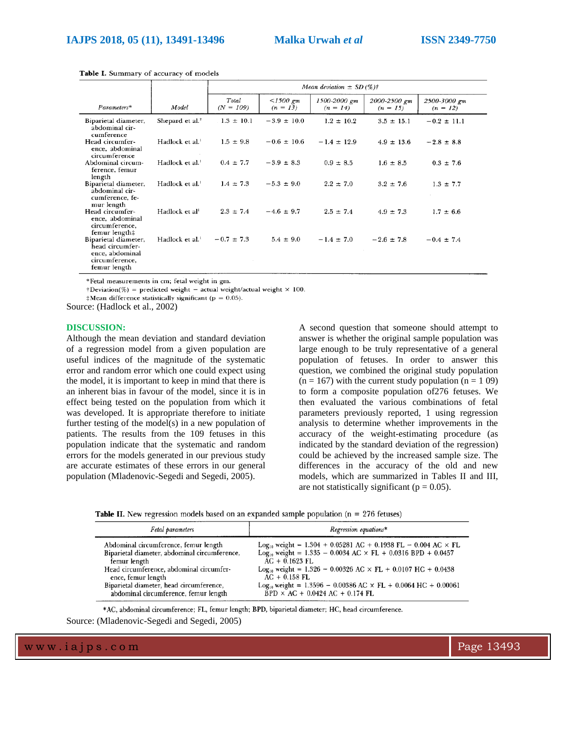|                                                                                              |                             | Mean deviation $\pm$ SD (%) <sup>†</sup> |                          |                            |                            |                            |  |
|----------------------------------------------------------------------------------------------|-----------------------------|------------------------------------------|--------------------------|----------------------------|----------------------------|----------------------------|--|
| $Parameters*$                                                                                | Model                       | Total<br>$(N = 109)$                     | $<1500$ gm<br>$(n = 13)$ | 1500-2000 gm<br>$(n = 14)$ | 2000-2500 gm<br>$(n = 15)$ | 2500-3000 gm<br>$(n = 12)$ |  |
| Biparietal diameter,<br>abdominal cir-<br>cumference                                         | Shepard et al. <sup>2</sup> | $1.3 \pm 10.1$                           | $-3.9 \pm 10.0$          | $1.2 \pm 10.2$             | $3.5 \pm 15.1$             | $-0.2 \pm 11.1$            |  |
| Head circumfer-<br>ence, abdominal<br>circumference                                          | Hadlock et al. <sup>1</sup> | $1.5 \pm 9.8$                            | $-0.6 \pm 10.6$          | $-1.4 \pm 12.9$            | $4.9 \pm 13.6$             | $-2.8 \pm 8.8$             |  |
| Abdominal circum-<br>ference, femur<br>length                                                | Hadlock et al. <sup>1</sup> | $0.4 \pm 7.7$                            | $-3.9 \pm 8.3$           | $0.9 \pm 8.5$              | $1.6 \pm 8.5$              | $0.3 \pm 7.6$              |  |
| Biparietal diameter,<br>abdominal cir-<br>cumference, fe-<br>mur length                      | Hadlock et al. <sup>1</sup> | $1.4 \pm 7.3$                            | $-5.3 \pm 9.0$           | $2.2 \pm 7.0$              | $3.2 \pm 7.6$              | $1.3 \pm 7.7$              |  |
| Head circumfer-<br>ence, abdominal<br>circumference.<br>femur length‡                        | Hadlock et al <sup>1</sup>  | $2.3 \pm 7.4$                            | $-4.6 \pm 9.7$           | $2.5 \pm 7.4$              | $4.9 \pm 7.3$              | $1.7 \pm 6.6$              |  |
| Biparietal diameter,<br>head circumfer-<br>ence, abdominal<br>circumference,<br>femur length | Hadlock et al. <sup>1</sup> | $-0.7 \pm 7.3$                           | $5.4 \pm 9.0$            | $-1.4 \pm 7.0$             | $-2.6 \pm 7.8$             | $-0.4 \pm 7.4$             |  |

Table I. Summary of accuracy of models

\*Fetal measurements in cm; fetal weight in gm.

 $\dagger$ Deviation(%) = predicted weight - actual weight/actual weight × 100.

 $\ddagger$ Mean difference statistically significant (p = 0.05).

Source: (Hadlock et al., 2002)

#### **DISCUSSION:**

Although the mean deviation and standard deviation of a regression model from a given population are useful indices of the magnitude of the systematic error and random error which one could expect using the model, it is important to keep in mind that there is an inherent bias in favour of the model, since it is in effect being tested on the population from which it was developed. It is appropriate therefore to initiate further testing of the model(s) in a new population of patients. The results from the 109 fetuses in this population indicate that the systematic and random errors for the models generated in our previous study are accurate estimates of these errors in our general population (Mladenovic-Segedi and Segedi, 2005).

A second question that someone should attempt to answer is whether the original sample population was large enough to be truly representative of a general population of fetuses. In order to answer this question, we combined the original study population  $(n = 167)$  with the current study population  $(n = 109)$ to form a composite population of276 fetuses. We then evaluated the various combinations of fetal parameters previously reported, 1 using regression analysis to determine whether improvements in the accuracy of the weight-estimating procedure (as indicated by the standard deviation of the regression) could be achieved by the increased sample size. The differences in the accuracy of the old and new models, which are summarized in Tables II and III, are not statistically significant ( $p = 0.05$ ).

|  |  |  | <b>Table II.</b> New regression models based on an expanded sample population ( $n = 276$ fetuses) |  |  |  |  |  |  |  |  |  |  |  |
|--|--|--|----------------------------------------------------------------------------------------------------|--|--|--|--|--|--|--|--|--|--|--|
|--|--|--|----------------------------------------------------------------------------------------------------|--|--|--|--|--|--|--|--|--|--|--|

| Fetal parameters                              | Regression equations*                                                            |  |  |  |  |
|-----------------------------------------------|----------------------------------------------------------------------------------|--|--|--|--|
| Abdominal circumference, femur length         | Log <sub>10</sub> weight = $1.304 + 0.05281$ AC + 0.1938 FL - 0.004 AC × FL      |  |  |  |  |
| Biparietal diameter, abdominal circumference, | Log <sub>10</sub> weight = $1.335 - 0.0034$ AC $\times$ FL + 0.0316 BPD + 0.0457 |  |  |  |  |
| femur length                                  | $AC + 0.1623$ FL                                                                 |  |  |  |  |
| Head circumference, abdominal circumfer-      | Log <sub>10</sub> weight = 1.326 - 0.00326 AC $\times$ FL + 0.0107 HC + 0.0438   |  |  |  |  |
| ence, femur length                            | $AC + 0.158$ FL                                                                  |  |  |  |  |
| Biparietal diameter, head circumference,      | $Log_{10}$ weight = 1.3596 - 0.00386 AC $\times$ FL + 0.0064 HC + 0.00061        |  |  |  |  |
| abdominal circumference, femur length         | $BPD \times AC + 0.0424 AC + 0.174 FL$                                           |  |  |  |  |

\*AC, abdominal circumference; FL, femur length; BPD, biparietal diameter; HC, head circumference.

Source: (Mladenovic-Segedi and Segedi, 2005)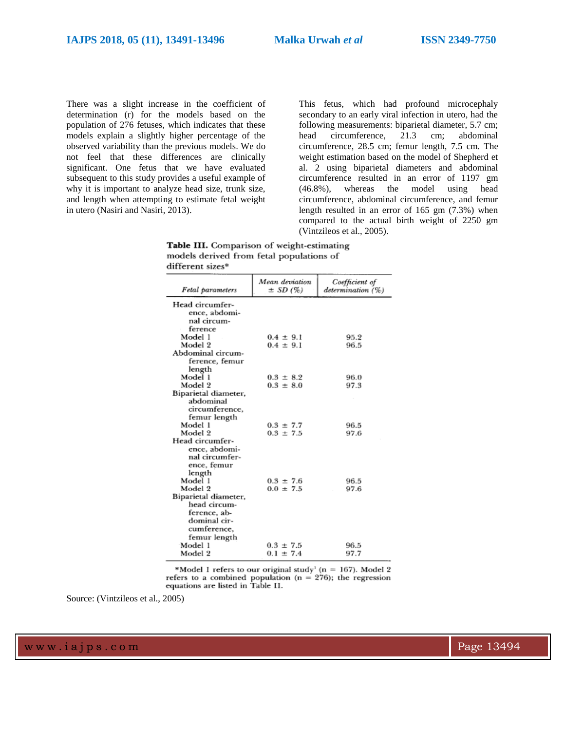There was a slight increase in the coefficient of determination (r) for the models based on the population of 276 fetuses, which indicates that these models explain a slightly higher percentage of the observed variability than the previous models. We do not feel that these differences are clinically significant. One fetus that we have evaluated subsequent to this study provides a useful example of why it is important to analyze head size, trunk size, and length when attempting to estimate fetal weight in utero (Nasiri and Nasiri, 2013).

This fetus, which had profound microcephaly secondary to an early viral infection in utero, had the following measurements: biparietal diameter, 5.7 cm; head circumference, 21.3 cm; abdominal circumference, 28.5 cm; femur length, 7.5 cm. The weight estimation based on the model of Shepherd et al. 2 using biparietal diameters and abdominal circumference resulted in an error of 1197 gm (46.8%), whereas the model using head circumference, abdominal circumference, and femur length resulted in an error of 165 gm (7.3%) when compared to the actual birth weight of 2250 gm (Vintzileos et al., 2005).

Table III. Comparison of weight-estimating models derived from fetal populations of different sizes\*

| Fetal parameters     | Mean deviation<br>$\pm$ SD (%) | Coefficient of<br>determination (%) |
|----------------------|--------------------------------|-------------------------------------|
| Head circumfer-      |                                |                                     |
| ence, abdomi-        |                                |                                     |
| nal circum-          |                                |                                     |
| ference              |                                |                                     |
| Model 1              | $0.4 \pm 9.1$                  | 95.2                                |
| Model 2              | $0.4 \pm 9.1$                  | 96.5                                |
| Abdominal circum-    |                                |                                     |
| ference, femur       |                                |                                     |
| length               |                                |                                     |
| Model 1              | $0.3 \pm 8.2$                  | 96.0                                |
| Model 2              | $0.3 \pm 8.0$                  | 97.3                                |
| Biparietal diameter, |                                |                                     |
| abdominal            |                                |                                     |
| circumference,       |                                |                                     |
| femur length         |                                |                                     |
| Model 1              | $0.3 \pm 7.7$                  | 96.5                                |
| Model 2              | $0.3 \pm 7.5$                  | 97.6                                |
| Head circumfer-      |                                |                                     |
| ence, abdomi-        |                                |                                     |
| nal circumfer-       |                                |                                     |
| ence, femur          |                                |                                     |
| length               |                                |                                     |
| Model 1              | $0.3 \pm 7.6$                  | 96.5                                |
| Model 2              | $0.0 \pm 7.5$                  | 97.6                                |
| Biparietal diameter, |                                |                                     |
| head circum-         |                                |                                     |
| ference, ab-         |                                |                                     |
| dominal cir-         |                                |                                     |
| cumference.          |                                |                                     |
| femur length         |                                |                                     |
| Model 1              | $0.3 \pm 7.5$                  | 96.5                                |
| Model 2              | $0.1 \pm 7.4$                  | 97.7                                |

\*Model 1 refers to our original study<sup>1</sup> ( $n = 167$ ). Model 2 refers to a combined population ( $n = 276$ ); the regression equations are listed in Table II.

Source: (Vintzileos et al., 2005)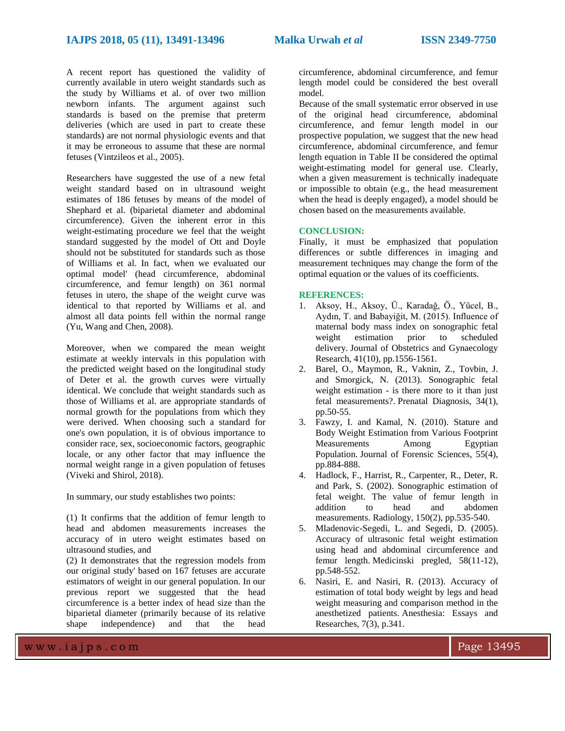A recent report has questioned the validity of currently available in utero weight standards such as the study by Williams et al. of over two million newborn infants. The argument against such standards is based on the premise that preterm deliveries (which are used in part to create these standards) are not normal physiologic events and that it may be erroneous to assume that these are normal fetuses (Vintzileos et al., 2005).

Researchers have suggested the use of a new fetal weight standard based on in ultrasound weight estimates of 186 fetuses by means of the model of Shephard et al. (biparietal diameter and abdominal circumference). Given the inherent error in this weight-estimating procedure we feel that the weight standard suggested by the model of Ott and Doyle should not be substituted for standards such as those of Williams et al. In fact, when we evaluated our optimal model' (head circumference, abdominal circumference, and femur length) on 361 normal fetuses in utero, the shape of the weight curve was identical to that reported by Williams et al. and almost all data points fell within the normal range (Yu, Wang and Chen, 2008).

Moreover, when we compared the mean weight estimate at weekly intervals in this population with the predicted weight based on the longitudinal study of Deter et al. the growth curves were virtually identical. We conclude that weight standards such as those of Williams et al. are appropriate standards of normal growth for the populations from which they were derived. When choosing such a standard for one's own population, it is of obvious importance to consider race, sex, socioeconomic factors, geographic locale, or any other factor that may influence the normal weight range in a given population of fetuses (Viveki and Shirol, 2018).

In summary, our study establishes two points:

(1) It confirms that the addition of femur length to head and abdomen measurements increases the accuracy of in utero weight estimates based on ultrasound studies, and

(2) It demonstrates that the regression models from our original study' based on 167 fetuses are accurate estimators of weight in our general population. In our previous report we suggested that the head circumference is a better index of head size than the biparietal diameter (primarily because of its relative shape independence) and that the head

circumference, abdominal circumference, and femur length model could be considered the best overall model.

Because of the small systematic error observed in use of the original head circumference, abdominal circumference, and femur length model in our prospective population, we suggest that the new head circumference, abdominal circumference, and femur length equation in Table II be considered the optimal weight-estimating model for general use. Clearly, when a given measurement is technically inadequate or impossible to obtain (e.g., the head measurement when the head is deeply engaged), a model should be chosen based on the measurements available.

#### **CONCLUSION:**

Finally, it must be emphasized that population differences or subtle differences in imaging and measurement techniques may change the form of the optimal equation or the values of its coefficients.

#### **REFERENCES:**

- 1. Aksoy, H., Aksoy, Ü., Karadağ, Ö., Yücel, B., Aydın, T. and Babayiğit, M. (2015). Influence of maternal body mass index on sonographic fetal weight estimation prior to scheduled delivery. Journal of Obstetrics and Gynaecology Research, 41(10), pp.1556-1561.
- 2. Barel, O., Maymon, R., Vaknin, Z., Tovbin, J. and Smorgick, N. (2013). Sonographic fetal weight estimation - is there more to it than just fetal measurements?. Prenatal Diagnosis, 34(1), pp.50-55.
- 3. Fawzy, I. and Kamal, N. (2010). Stature and Body Weight Estimation from Various Footprint Measurements Among Egyptian Population. Journal of Forensic Sciences, 55(4), pp.884-888.
- 4. Hadlock, F., Harrist, R., Carpenter, R., Deter, R. and Park, S. (2002). Sonographic estimation of fetal weight. The value of femur length in addition to head and abdomen measurements. Radiology, 150(2), pp.535-540.
- 5. Mladenovic-Segedi, L. and Segedi, D. (2005). Accuracy of ultrasonic fetal weight estimation using head and abdominal circumference and femur length. Medicinski pregled, 58(11-12), pp.548-552.
- 6. Nasiri, E. and Nasiri, R. (2013). Accuracy of estimation of total body weight by legs and head weight measuring and comparison method in the anesthetized patients. Anesthesia: Essays and Researches, 7(3), p.341.